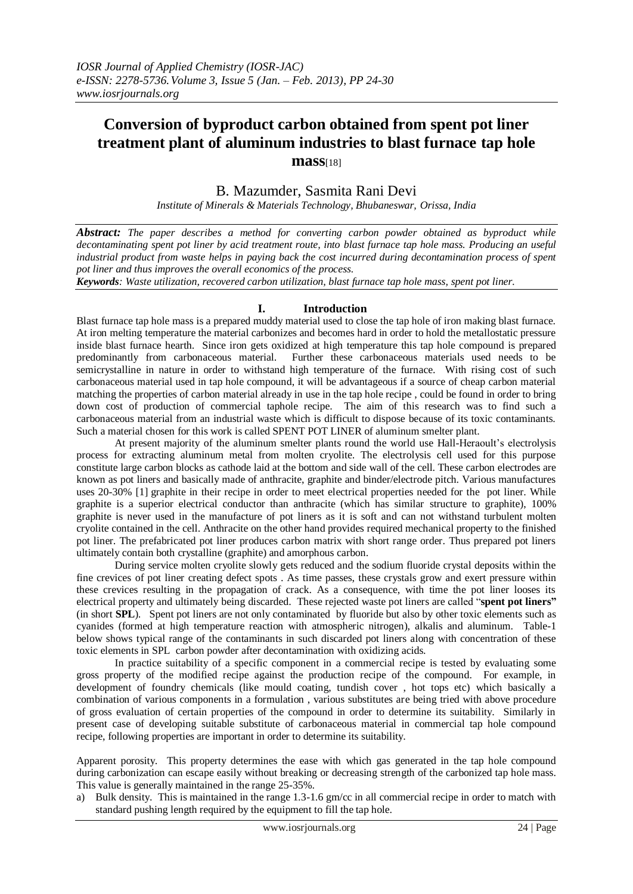# **Conversion of byproduct carbon obtained from spent pot liner treatment plant of aluminum industries to blast furnace tap hole mass**[18]

# B. Mazumder, Sasmita Rani Devi

*Institute of Minerals & Materials Technology, Bhubaneswar, Orissa, India*

*Abstract: The paper describes a method for converting carbon powder obtained as byproduct while decontaminating spent pot liner by acid treatment route, into blast furnace tap hole mass. Producing an useful industrial product from waste helps in paying back the cost incurred during decontamination process of spent pot liner and thus improves the overall economics of the process.*

*Keywords: Waste utilization, recovered carbon utilization, blast furnace tap hole mass, spent pot liner.*

## **I. Introduction**

Blast furnace tap hole mass is a prepared muddy material used to close the tap hole of iron making blast furnace. At iron melting temperature the material carbonizes and becomes hard in order to hold the metallostatic pressure inside blast furnace hearth. Since iron gets oxidized at high temperature this tap hole compound is prepared predominantly from carbonaceous material. Further these carbonaceous materials used needs to be semicrystalline in nature in order to withstand high temperature of the furnace. With rising cost of such carbonaceous material used in tap hole compound, it will be advantageous if a source of cheap carbon material matching the properties of carbon material already in use in the tap hole recipe , could be found in order to bring down cost of production of commercial taphole recipe. The aim of this research was to find such a carbonaceous material from an industrial waste which is difficult to dispose because of its toxic contaminants. Such a material chosen for this work is called SPENT POT LINER of aluminum smelter plant.

At present majority of the aluminum smelter plants round the world use Hall-Heraoult's electrolysis process for extracting aluminum metal from molten cryolite. The electrolysis cell used for this purpose constitute large carbon blocks as cathode laid at the bottom and side wall of the cell. These carbon electrodes are known as pot liners and basically made of anthracite, graphite and binder/electrode pitch. Various manufactures uses 20-30% [1] graphite in their recipe in order to meet electrical properties needed for the pot liner. While graphite is a superior electrical conductor than anthracite (which has similar structure to graphite), 100% graphite is never used in the manufacture of pot liners as it is soft and can not withstand turbulent molten cryolite contained in the cell. Anthracite on the other hand provides required mechanical property to the finished pot liner. The prefabricated pot liner produces carbon matrix with short range order. Thus prepared pot liners ultimately contain both crystalline (graphite) and amorphous carbon.

During service molten cryolite slowly gets reduced and the sodium fluoride crystal deposits within the fine crevices of pot liner creating defect spots . As time passes, these crystals grow and exert pressure within these crevices resulting in the propagation of crack. As a consequence, with time the pot liner looses its electrical property and ultimately being discarded. These rejected waste pot liners are called "**spent pot liners"** (in short **SPL**). Spent pot liners are not only contaminated by fluoride but also by other toxic elements such as cyanides (formed at high temperature reaction with atmospheric nitrogen), alkalis and aluminum. Table-1 below shows typical range of the contaminants in such discarded pot liners along with concentration of these toxic elements in SPL carbon powder after decontamination with oxidizing acids.

In practice suitability of a specific component in a commercial recipe is tested by evaluating some gross property of the modified recipe against the production recipe of the compound. For example, in development of foundry chemicals (like mould coating, tundish cover , hot tops etc) which basically a combination of various components in a formulation , various substitutes are being tried with above procedure of gross evaluation of certain properties of the compound in order to determine its suitability. Similarly in present case of developing suitable substitute of carbonaceous material in commercial tap hole compound recipe, following properties are important in order to determine its suitability.

Apparent porosity. This property determines the ease with which gas generated in the tap hole compound during carbonization can escape easily without breaking or decreasing strength of the carbonized tap hole mass. This value is generally maintained in the range 25-35%.

a) Bulk density. This is maintained in the range 1.3-1.6 gm/cc in all commercial recipe in order to match with standard pushing length required by the equipment to fill the tap hole.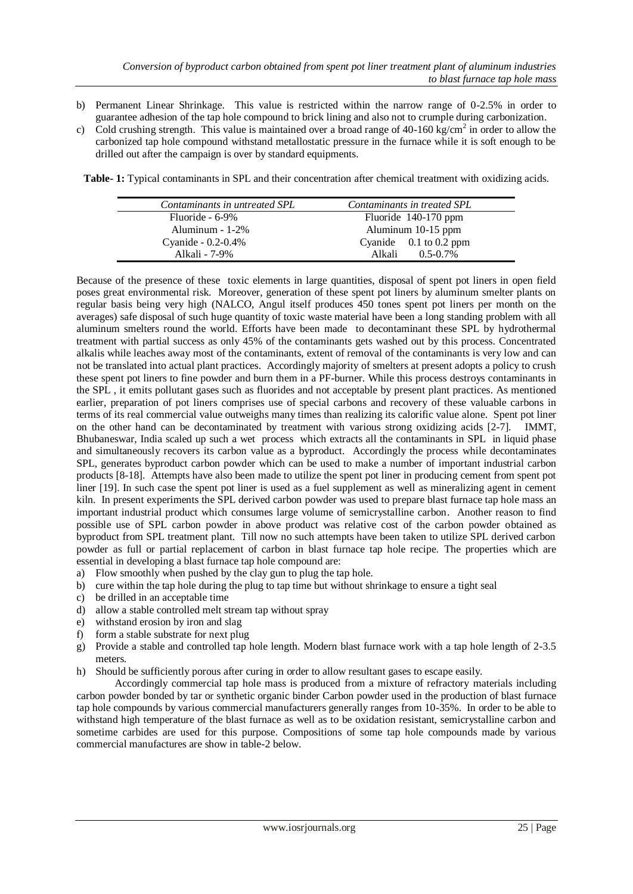- b) Permanent Linear Shrinkage. This value is restricted within the narrow range of 0-2.5% in order to guarantee adhesion of the tap hole compound to brick lining and also not to crumple during carbonization.
- c) Cold crushing strength. This value is maintained over a broad range of 40-160 kg/cm<sup>2</sup> in order to allow the carbonized tap hole compound withstand metallostatic pressure in the furnace while it is soft enough to be drilled out after the campaign is over by standard equipments.

**Table- 1:** Typical contaminants in SPL and their concentration after chemical treatment with oxidizing acids.

| Contaminants in untreated SPL | Contaminants in treated SPL |
|-------------------------------|-----------------------------|
| $Fluoride - 6-9\%$            | Fluoride 140-170 ppm        |
| Aluminum - $1-2\%$            | Aluminum 10-15 ppm          |
| Cyanide - 0.2-0.4%            | Cyanide $0.1$ to 0.2 ppm    |
| Alkali - 7-9%                 | $0.5 - 0.7\%$<br>Alkali     |

Because of the presence of these toxic elements in large quantities, disposal of spent pot liners in open field poses great environmental risk. Moreover, generation of these spent pot liners by aluminum smelter plants on regular basis being very high (NALCO, Angul itself produces 450 tones spent pot liners per month on the averages) safe disposal of such huge quantity of toxic waste material have been a long standing problem with all aluminum smelters round the world. Efforts have been made to decontaminant these SPL by hydrothermal treatment with partial success as only 45% of the contaminants gets washed out by this process. Concentrated alkalis while leaches away most of the contaminants, extent of removal of the contaminants is very low and can not be translated into actual plant practices. Accordingly majority of smelters at present adopts a policy to crush these spent pot liners to fine powder and burn them in a PF-burner. While this process destroys contaminants in the SPL , it emits pollutant gases such as fluorides and not acceptable by present plant practices. As mentioned earlier, preparation of pot liners comprises use of special carbons and recovery of these valuable carbons in terms of its real commercial value outweighs many times than realizing its calorific value alone. Spent pot liner on the other hand can be decontaminated by treatment with various strong oxidizing acids [2-7]. IMMT, Bhubaneswar, India scaled up such a wet process which extracts all the contaminants in SPL in liquid phase and simultaneously recovers its carbon value as a byproduct. Accordingly the process while decontaminates SPL, generates byproduct carbon powder which can be used to make a number of important industrial carbon products [8-18]. Attempts have also been made to utilize the spent pot liner in producing cement from spent pot liner [19]. In such case the spent pot liner is used as a fuel supplement as well as mineralizing agent in cement kiln. In present experiments the SPL derived carbon powder was used to prepare blast furnace tap hole mass an important industrial product which consumes large volume of semicrystalline carbon. Another reason to find possible use of SPL carbon powder in above product was relative cost of the carbon powder obtained as byproduct from SPL treatment plant. Till now no such attempts have been taken to utilize SPL derived carbon powder as full or partial replacement of carbon in blast furnace tap hole recipe. The properties which are essential in developing a blast furnace tap hole compound are:

- a) Flow smoothly when pushed by the clay gun to plug the tap hole.
- b) cure within the tap hole during the plug to tap time but without shrinkage to ensure a tight seal
- c) be drilled in an acceptable time
- d) allow a stable controlled melt stream tap without spray
- e) withstand erosion by iron and slag
- f) form a stable substrate for next plug
- g) Provide a stable and controlled tap hole length. Modern blast furnace work with a tap hole length of 2-3.5 meters.
- h) Should be sufficiently porous after curing in order to allow resultant gases to escape easily.

Accordingly commercial tap hole mass is produced from a mixture of refractory materials including carbon powder bonded by tar or synthetic organic binder Carbon powder used in the production of blast furnace tap hole compounds by various commercial manufacturers generally ranges from 10-35%. In order to be able to withstand high temperature of the blast furnace as well as to be oxidation resistant, semicrystalline carbon and sometime carbides are used for this purpose. Compositions of some tap hole compounds made by various commercial manufactures are show in table-2 below.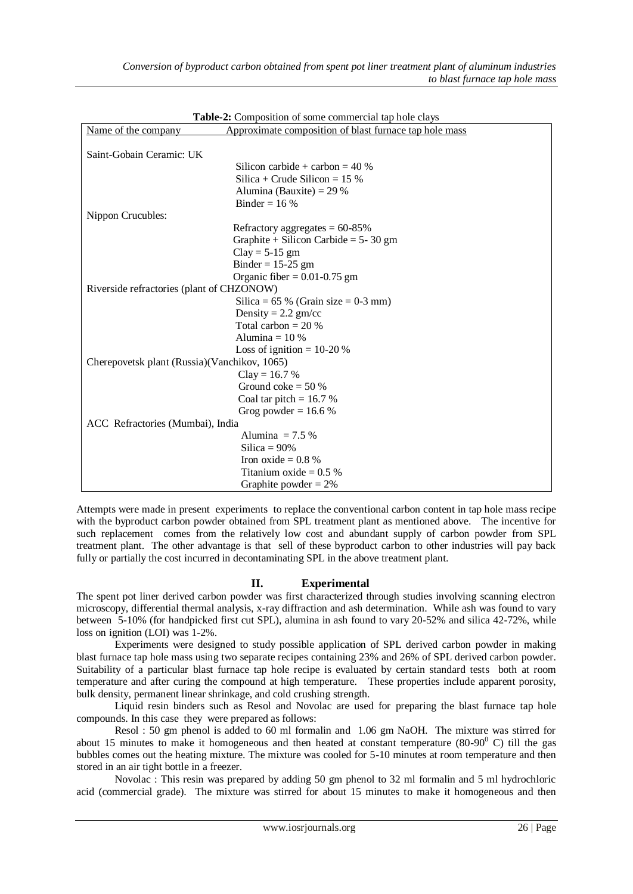| Name of the company                          | Approximate composition of blast furnace tap hole mass |
|----------------------------------------------|--------------------------------------------------------|
|                                              |                                                        |
| Saint-Gobain Ceramic: UK                     |                                                        |
|                                              | Silicon carbide + carbon = $40\%$                      |
|                                              | Silica + Crude Silicon = $15\%$                        |
|                                              | Alumina (Bauxite) = $29%$                              |
|                                              | Binder = $16\%$                                        |
| Nippon Crucubles:                            |                                                        |
|                                              | Refractory aggregates = $60-85\%$                      |
|                                              | Graphite + Silicon Carbide = $5 - 30$ gm               |
|                                              | $Clay = 5-15$ gm                                       |
|                                              | Binder = $15-25$ gm                                    |
|                                              | Organic fiber $= 0.01 - 0.75$ gm                       |
| Riverside refractories (plant of CHZONOW)    |                                                        |
|                                              | Silica = $65\%$ (Grain size = $0-3$ mm)                |
|                                              | Density = $2.2$ gm/cc                                  |
|                                              | Total carbon $= 20\%$                                  |
|                                              | Alumina = $10\%$                                       |
|                                              | Loss of ignition = $10-20\%$                           |
| Cherepovetsk plant (Russia)(Vanchikov, 1065) |                                                        |
|                                              | $Clay = 16.7 %$                                        |
|                                              | Ground coke $=$ 50 %                                   |
|                                              | Coal tar pitch = $16.7\%$                              |
|                                              | Grog powder = $16.6\%$                                 |
| ACC Refractories (Mumbai), India             |                                                        |
|                                              | Alumina $= 7.5\%$                                      |
|                                              | Silica = $90\%$                                        |
|                                              | Iron oxide $= 0.8$ %                                   |
|                                              | Titanium oxide $= 0.5$ %                               |
|                                              | Graphite powder $= 2\%$                                |

**Table-2:** Composition of some commercial tap hole clays

Attempts were made in present experiments to replace the conventional carbon content in tap hole mass recipe with the byproduct carbon powder obtained from SPL treatment plant as mentioned above. The incentive for such replacement comes from the relatively low cost and abundant supply of carbon powder from SPL treatment plant. The other advantage is that sell of these byproduct carbon to other industries will pay back fully or partially the cost incurred in decontaminating SPL in the above treatment plant.

### **II. Experimental**

The spent pot liner derived carbon powder was first characterized through studies involving scanning electron microscopy, differential thermal analysis, x-ray diffraction and ash determination. While ash was found to vary between 5-10% (for handpicked first cut SPL), alumina in ash found to vary 20-52% and silica 42-72%, while loss on ignition (LOI) was 1-2%.

Experiments were designed to study possible application of SPL derived carbon powder in making blast furnace tap hole mass using two separate recipes containing 23% and 26% of SPL derived carbon powder. Suitability of a particular blast furnace tap hole recipe is evaluated by certain standard tests both at room temperature and after curing the compound at high temperature. These properties include apparent porosity, bulk density, permanent linear shrinkage, and cold crushing strength.

Liquid resin binders such as Resol and Novolac are used for preparing the blast furnace tap hole compounds. In this case they were prepared as follows:

Resol : 50 gm phenol is added to 60 ml formalin and 1.06 gm NaOH. The mixture was stirred for about 15 minutes to make it homogeneous and then heated at constant temperature  $(80-90^{\circ} \text{ C})$  till the gas bubbles comes out the heating mixture. The mixture was cooled for 5-10 minutes at room temperature and then stored in an air tight bottle in a freezer.

Novolac : This resin was prepared by adding 50 gm phenol to 32 ml formalin and 5 ml hydrochloric acid (commercial grade). The mixture was stirred for about 15 minutes to make it homogeneous and then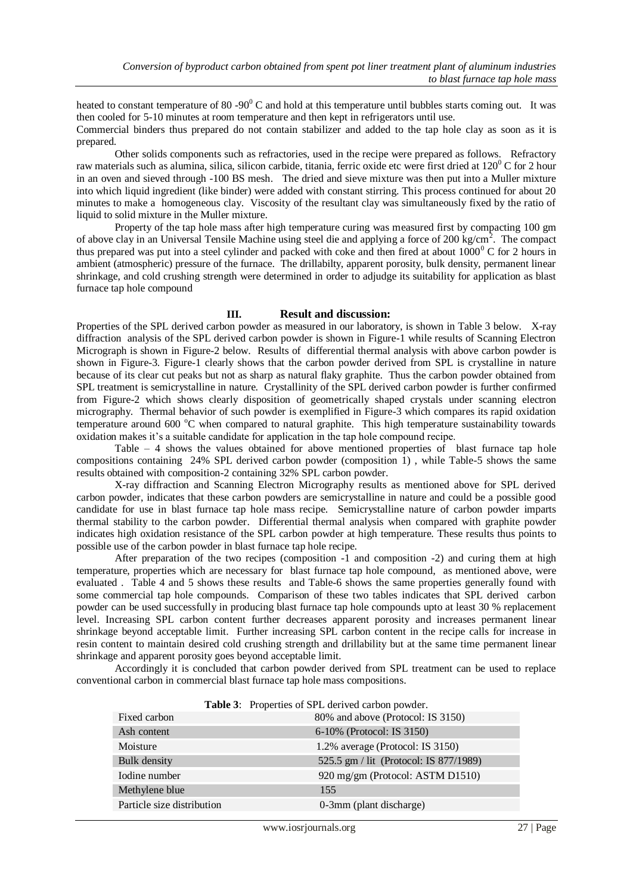heated to constant temperature of 80 -90 $^{0}$  C and hold at this temperature until bubbles starts coming out. It was then cooled for 5-10 minutes at room temperature and then kept in refrigerators until use.

Commercial binders thus prepared do not contain stabilizer and added to the tap hole clay as soon as it is prepared.

Other solids components such as refractories, used in the recipe were prepared as follows. Refractory raw materials such as alumina, silica, silicon carbide, titania, ferric oxide etc were first dried at  $120^{\circ}$ C for 2 hour in an oven and sieved through -100 BS mesh. The dried and sieve mixture was then put into a Muller mixture into which liquid ingredient (like binder) were added with constant stirring. This process continued for about 20 minutes to make a homogeneous clay. Viscosity of the resultant clay was simultaneously fixed by the ratio of liquid to solid mixture in the Muller mixture.

Property of the tap hole mass after high temperature curing was measured first by compacting 100 gm of above clay in an Universal Tensile Machine using steel die and applying a force of 200 kg/cm<sup>2</sup>. The compact thus prepared was put into a steel cylinder and packed with coke and then fired at about  $1000^{\circ}$  C for 2 hours in ambient (atmospheric) pressure of the furnace. The drillabilty, apparent porosity, bulk density, permanent linear shrinkage, and cold crushing strength were determined in order to adjudge its suitability for application as blast furnace tap hole compound

#### **III. Result and discussion:**

Properties of the SPL derived carbon powder as measured in our laboratory, is shown in Table 3 below. X-ray diffraction analysis of the SPL derived carbon powder is shown in Figure-1 while results of Scanning Electron Micrograph is shown in Figure-2 below. Results of differential thermal analysis with above carbon powder is shown in Figure-3. Figure-1 clearly shows that the carbon powder derived from SPL is crystalline in nature because of its clear cut peaks but not as sharp as natural flaky graphite. Thus the carbon powder obtained from SPL treatment is semicrystalline in nature. Crystallinity of the SPL derived carbon powder is further confirmed from Figure-2 which shows clearly disposition of geometrically shaped crystals under scanning electron micrography. Thermal behavior of such powder is exemplified in Figure-3 which compares its rapid oxidation temperature around 600 °C when compared to natural graphite. This high temperature sustainability towards oxidation makes it's a suitable candidate for application in the tap hole compound recipe.

Table – 4 shows the values obtained for above mentioned properties of blast furnace tap hole compositions containing 24% SPL derived carbon powder (composition 1) , while Table-5 shows the same results obtained with composition-2 containing 32% SPL carbon powder.

X-ray diffraction and Scanning Electron Micrography results as mentioned above for SPL derived carbon powder, indicates that these carbon powders are semicrystalline in nature and could be a possible good candidate for use in blast furnace tap hole mass recipe. Semicrystalline nature of carbon powder imparts thermal stability to the carbon powder. Differential thermal analysis when compared with graphite powder indicates high oxidation resistance of the SPL carbon powder at high temperature. These results thus points to possible use of the carbon powder in blast furnace tap hole recipe.

After preparation of the two recipes (composition -1 and composition -2) and curing them at high temperature, properties which are necessary for blast furnace tap hole compound, as mentioned above, were evaluated . Table 4 and 5 shows these results and Table-6 shows the same properties generally found with some commercial tap hole compounds. Comparison of these two tables indicates that SPL derived carbon powder can be used successfully in producing blast furnace tap hole compounds upto at least 30 % replacement level. Increasing SPL carbon content further decreases apparent porosity and increases permanent linear shrinkage beyond acceptable limit. Further increasing SPL carbon content in the recipe calls for increase in resin content to maintain desired cold crushing strength and drillability but at the same time permanent linear shrinkage and apparent porosity goes beyond acceptable limit.

Accordingly it is concluded that carbon powder derived from SPL treatment can be used to replace conventional carbon in commercial blast furnace tap hole mass compositions.

|                            | <b>Table 5.</b> Flopernes of SFL derived carboll powder. |
|----------------------------|----------------------------------------------------------|
| Fixed carbon               | 80% and above (Protocol: IS 3150)                        |
| Ash content                | 6-10% (Protocol: IS 3150)                                |
| Moisture                   | 1.2% average (Protocol: IS 3150)                         |
| Bulk density               | 525.5 gm / lit (Protocol: IS 877/1989)                   |
| Iodine number              | 920 mg/gm (Protocol: ASTM D1510)                         |
| Methylene blue             | 155                                                      |
| Particle size distribution | 0-3mm (plant discharge)                                  |

**Table 3**: Properties of SPL derived carbon powder.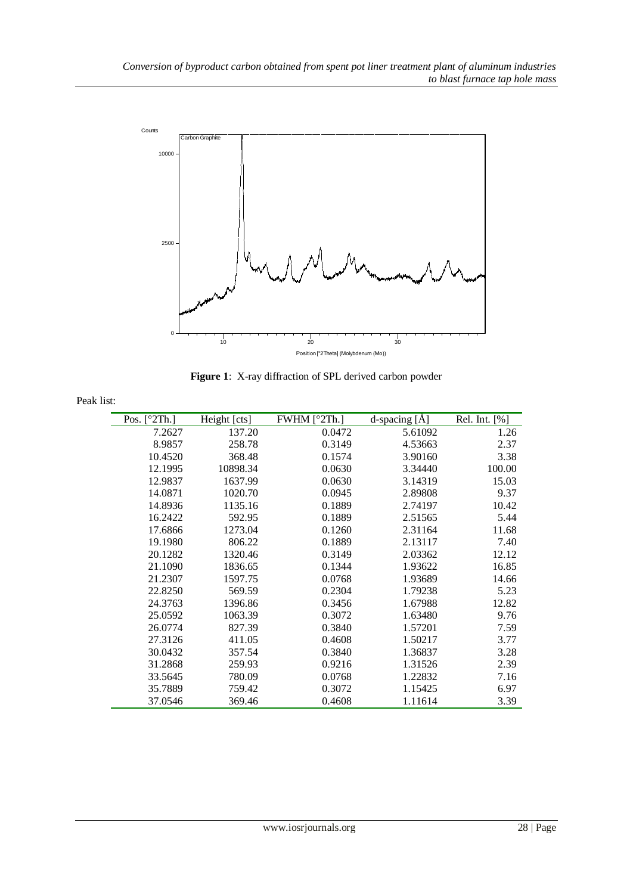

**Figure 1**: X-ray diffraction of SPL derived carbon powder

| Peak list: |  |
|------------|--|
|            |  |

| Pos. $[^{\circ}2Th.]$ | Height [cts] | FWHM $[°2Th.]$ | d-spacing [Å] | Rel. Int. [%] |
|-----------------------|--------------|----------------|---------------|---------------|
| 7.2627                | 137.20       | 0.0472         | 5.61092       | 1.26          |
| 8.9857                | 258.78       | 0.3149         | 4.53663       | 2.37          |
| 10.4520               | 368.48       | 0.1574         | 3.90160       | 3.38          |
| 12.1995               | 10898.34     | 0.0630         | 3.34440       | 100.00        |
| 12.9837               | 1637.99      | 0.0630         | 3.14319       | 15.03         |
| 14.0871               | 1020.70      | 0.0945         | 2.89808       | 9.37          |
| 14.8936               | 1135.16      | 0.1889         | 2.74197       | 10.42         |
| 16.2422               | 592.95       | 0.1889         | 2.51565       | 5.44          |
| 17.6866               | 1273.04      | 0.1260         | 2.31164       | 11.68         |
| 19.1980               | 806.22       | 0.1889         | 2.13117       | 7.40          |
| 20.1282               | 1320.46      | 0.3149         | 2.03362       | 12.12         |
| 21.1090               | 1836.65      | 0.1344         | 1.93622       | 16.85         |
| 21.2307               | 1597.75      | 0.0768         | 1.93689       | 14.66         |
| 22.8250               | 569.59       | 0.2304         | 1.79238       | 5.23          |
| 24.3763               | 1396.86      | 0.3456         | 1.67988       | 12.82         |
| 25.0592               | 1063.39      | 0.3072         | 1.63480       | 9.76          |
| 26.0774               | 827.39       | 0.3840         | 1.57201       | 7.59          |
| 27.3126               | 411.05       | 0.4608         | 1.50217       | 3.77          |
| 30.0432               | 357.54       | 0.3840         | 1.36837       | 3.28          |
| 31.2868               | 259.93       | 0.9216         | 1.31526       | 2.39          |
| 33.5645               | 780.09       | 0.0768         | 1.22832       | 7.16          |
| 35.7889               | 759.42       | 0.3072         | 1.15425       | 6.97          |
| 37.0546               | 369.46       | 0.4608         | 1.11614       | 3.39          |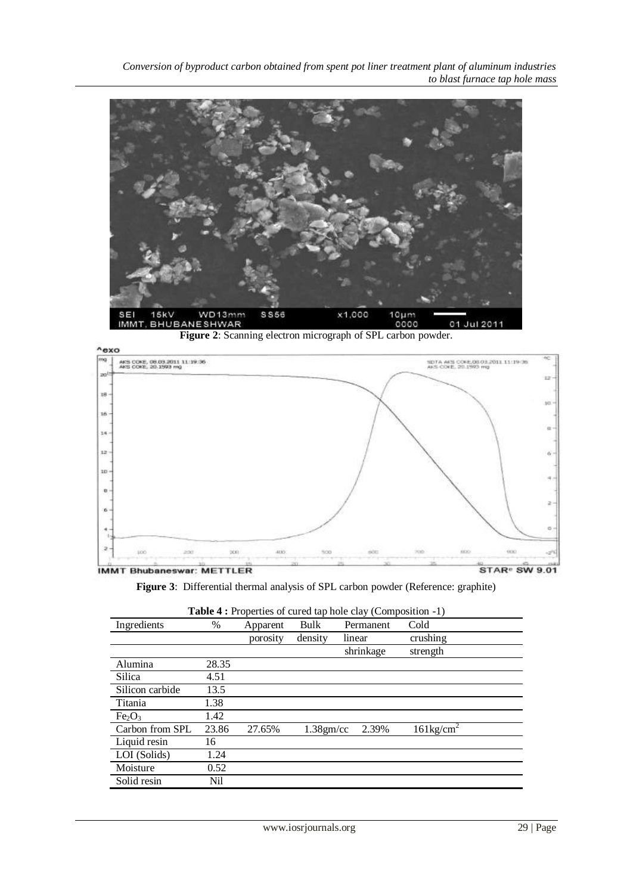*Conversion of byproduct carbon obtained from spent pot liner treatment plant of aluminum industries to blast furnace tap hole mass*



**Figure 2**: Scanning electron micrograph of SPL carbon powder.



**Figure 3**: Differential thermal analysis of SPL carbon powder (Reference: graphite)

| Ingredients                    | %     | Apparent | Bulk         | Permanent | Cold                |
|--------------------------------|-------|----------|--------------|-----------|---------------------|
|                                |       | porosity | density      | linear    | crushing            |
|                                |       |          |              | shrinkage | strength            |
| Alumina                        | 28.35 |          |              |           |                     |
| Silica                         | 4.51  |          |              |           |                     |
| Silicon carbide                | 13.5  |          |              |           |                     |
| Titania                        | 1.38  |          |              |           |                     |
| Fe <sub>2</sub> O <sub>3</sub> | 1.42  |          |              |           |                     |
| Carbon from SPL                | 23.86 | 27.65%   | $1.38$ gm/cc | 2.39%     | $161\text{kg/cm}^2$ |
| Liquid resin                   | 16    |          |              |           |                     |
| LOI (Solids)                   | 1.24  |          |              |           |                     |
| Moisture                       | 0.52  |          |              |           |                     |
| Solid resin                    | Nil   |          |              |           |                     |

| <b>Table 4 :</b> Properties of cured tap hole clay (Composition -1) |  |  |
|---------------------------------------------------------------------|--|--|
|---------------------------------------------------------------------|--|--|